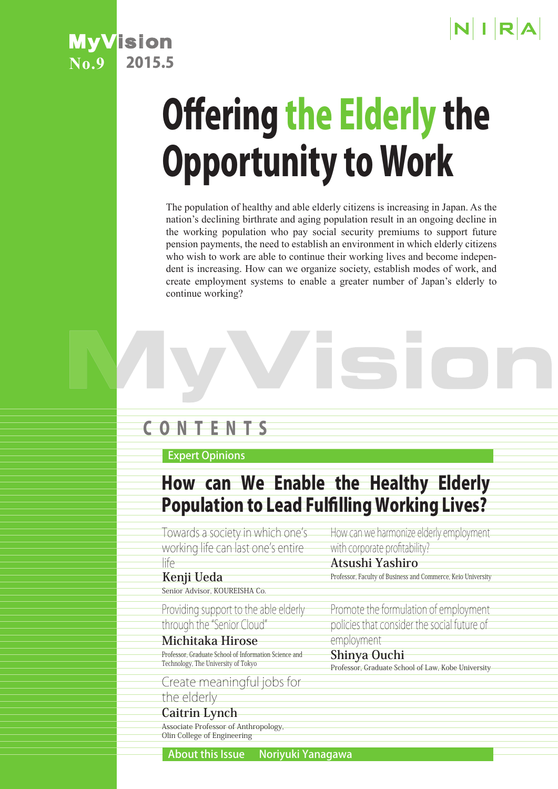



# Offering the Elderly the Opportunity to Work

The population of healthy and able elderly citizens is increasing in Japan. As the nation's declining birthrate and aging population result in an ongoing decline in the working population who pay social security premiums to support future pension payments, the need to establish an environment in which elderly citizens who wish to work are able to continue their working lives and become independent is increasing. How can we organize society, establish modes of work, and create employment systems to enable a greater number of Japan's elderly to continue working?

# C O N T E N T S

Expert Opinions

# How can We Enable the Healthy Elderly Population to Lead Fulfilling Working Lives?

Towards a society in which one's working life can last one's entire

#### life **Kenji Ueda**

Senior Advisor, KOUREISHA Co.

Providing support to the able elderly through the "Senior Cloud"

**Michitaka Hirose** Professor, Graduate School of Information Science and Technology, The University of Tokyo

Create meaningful jobs for the elderly

**Caitrin Lynch** Associate Professor of Anthropology, Olin College of Engineering

How can we harmonize elderly employment with corporate profitability?

### **Atsushi Yashiro**

Professor, Faculty of Business and Commerce, Keio University

Promote the formulation of employment policies that consider the social future of employment

#### **Shinya Ouchi**

Professor, Graduate School of Law, Kobe University

About this Issue Noriyuki Yanagawa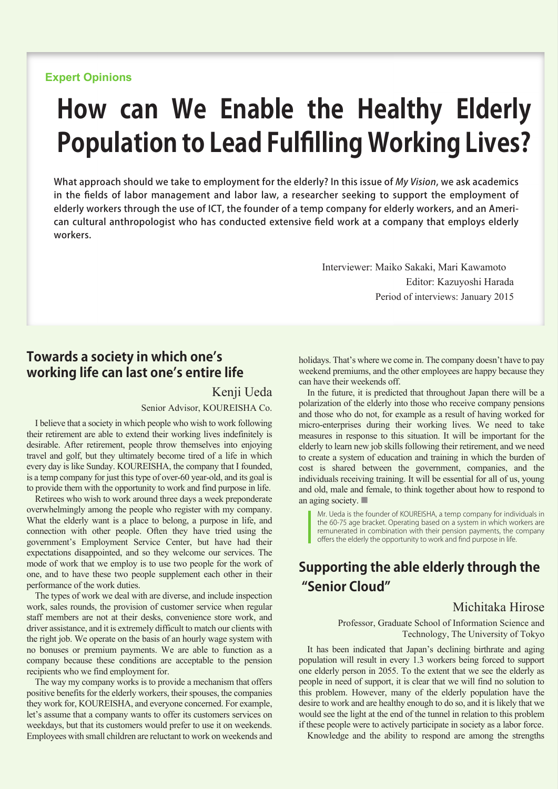#### **Expert Opinions**

# **How can We Enable the Healthy Elderly Population to Lead Fulfilling Working Lives?**

What approach should we take to employment for the elderly? In this issue of My Vision, we ask academics in the fields of labor management and labor law, a researcher seeking to support the employment of elderly workers through the use of ICT, the founder of a temp company for elderly workers, and an American cultural anthropologist who has conducted extensive field work at a company that employs elderly workers.

> Interviewer: Maiko Sakaki, Mari Kawamoto Editor: Kazuyoshi Harada Period of interviews: January 2015

#### **Towards a society in which one's working life can last one's entire life**

Kenji Ueda Senior Advisor, KOUREISHA Co.

I believe that a society in which people who wish to work following their retirement are able to extend their working lives indefinitely is desirable. After retirement, people throw themselves into enjoying travel and golf, but they ultimately become tired of a life in which every day is like Sunday. KOUREISHA, the company that I founded, is a temp company for just this type of over-60 year-old, and its goal is to provide them with the opportunity to work and find purpose in life.

Retirees who wish to work around three days a week preponderate overwhelmingly among the people who register with my company. What the elderly want is a place to belong, a purpose in life, and connection with other people. Often they have tried using the government's Employment Service Center, but have had their expectations disappointed, and so they welcome our services. The mode of work that we employ is to use two people for the work of one, and to have these two people supplement each other in their performance of the work duties.

The types of work we deal with are diverse, and include inspection work, sales rounds, the provision of customer service when regular staff members are not at their desks, convenience store work, and driver assistance, and it is extremely difficult to match our clients with the right job. We operate on the basis of an hourly wage system with no bonuses or premium payments. We are able to function as a company because these conditions are acceptable to the pension recipients who we find employment for.

The way my company works is to provide a mechanism that offers positive benefits for the elderly workers, their spouses, the companies they work for, KOUREISHA, and everyone concerned. For example, let's assume that a company wants to offer its customers services on weekdays, but that its customers would prefer to use it on weekends. Employees with small children are reluctant to work on weekends and

holidays. That's where we come in. The company doesn't have to pay weekend premiums, and the other employees are happy because they can have their weekends off.

In the future, it is predicted that throughout Japan there will be a polarization of the elderly into those who receive company pensions and those who do not, for example as a result of having worked for micro-enterprises during their working lives. We need to take measures in response to this situation. It will be important for the elderly to learn new job skills following their retirement, and we need to create a system of education and training in which the burden of cost is shared between the government, companies, and the individuals receiving training. It will be essential for all of us, young and old, male and female, to think together about how to respond to an aging society. ■

Mr. Ueda is the founder of KOUREISHA, a temp company for individuals in the 60-75 age bracket. Operating based on a system in which workers are remunerated in combination with their pension payments, the company offers the elderly the opportunity to work and find purpose in life.

# **Supporting the able elderly through the "Senior Cloud"**

#### Michitaka Hirose

Professor, Graduate School of Information Science and Technology, The University of Tokyo

It has been indicated that Japan's declining birthrate and aging population will result in every 1.3 workers being forced to support one elderly person in 2055. To the extent that we see the elderly as people in need of support, it is clear that we will find no solution to this problem. However, many of the elderly population have the desire to work and are healthy enough to do so, and it is likely that we would see the light at the end of the tunnel in relation to this problem if these people were to actively participate in society as a labor force.

Knowledge and the ability to respond are among the strengths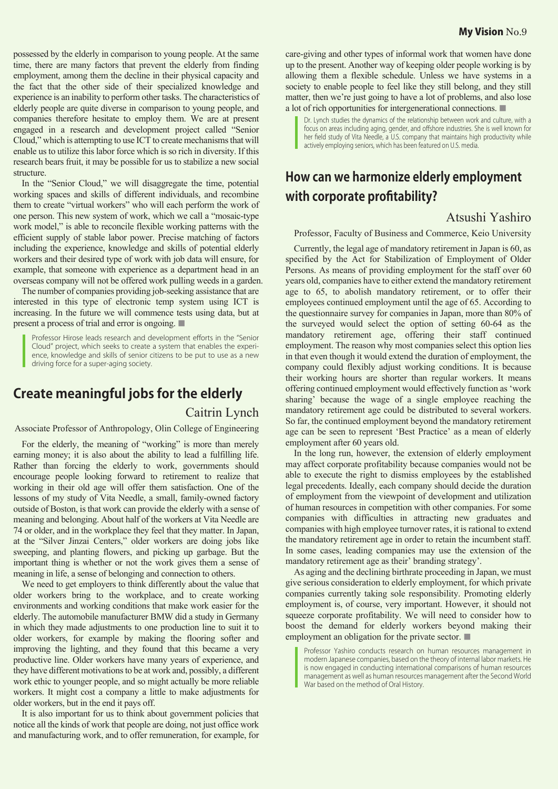possessed by the elderly in comparison to young people. At the same time, there are many factors that prevent the elderly from finding employment, among them the decline in their physical capacity and the fact that the other side of their specialized knowledge and experience is an inability to perform other tasks. The characteristics of elderly people are quite diverse in comparison to young people, and companies therefore hesitate to employ them. We are at present engaged in a research and development project called "Senior Cloud," which is attempting to use ICT to create mechanisms that will enable us to utilize this labor force which is so rich in diversity. If this research bears fruit, it may be possible for us to stabilize a new social structure.

In the "Senior Cloud," we will disaggregate the time, potential working spaces and skills of different individuals, and recombine them to create "virtual workers" who will each perform the work of one person. This new system of work, which we call a "mosaic-type work model," is able to reconcile flexible working patterns with the efficient supply of stable labor power. Precise matching of factors including the experience, knowledge and skills of potential elderly workers and their desired type of work with job data will ensure, for example, that someone with experience as a department head in an overseas company will not be offered work pulling weeds in a garden.

The number of companies providing job-seeking assistance that are interested in this type of electronic temp system using ICT is increasing. In the future we will commence tests using data, but at present a process of trial and error is ongoing. ■

Professor Hirose leads research and development efforts in the "Senior Cloud" project, which seeks to create a system that enables the experience, knowledge and skills of senior citizens to be put to use as a new driving force for a super-aging society.

## **Create meaningful jobs for the elderly**

#### Caitrin Lynch

Associate Professor of Anthropology, Olin College of Engineering

For the elderly, the meaning of "working" is more than merely earning money; it is also about the ability to lead a fulfilling life. Rather than forcing the elderly to work, governments should encourage people looking forward to retirement to realize that working in their old age will offer them satisfaction. One of the lessons of my study of Vita Needle, a small, family-owned factory outside of Boston, is that work can provide the elderly with a sense of meaning and belonging. About half of the workers at Vita Needle are 74 or older, and in the workplace they feel that they matter. In Japan, at the "Silver Jinzai Centers," older workers are doing jobs like sweeping, and planting flowers, and picking up garbage. But the important thing is whether or not the work gives them a sense of meaning in life, a sense of belonging and connection to others.

We need to get employers to think differently about the value that older workers bring to the workplace, and to create working environments and working conditions that make work easier for the elderly. The automobile manufacturer BMW did a study in Germany in which they made adjustments to one production line to suit it to older workers, for example by making the flooring softer and improving the lighting, and they found that this became a very productive line. Older workers have many years of experience, and they have different motivations to be at work and, possibly, a different work ethic to younger people, and so might actually be more reliable workers. It might cost a company a little to make adjustments for older workers, but in the end it pays off.

It is also important for us to think about government policies that notice all the kinds of work that people are doing, not just office work and manufacturing work, and to offer remuneration, for example, for

care-giving and other types of informal work that women have done up to the present. Another way of keeping older people working is by allowing them a flexible schedule. Unless we have systems in a society to enable people to feel like they still belong, and they still matter, then we're just going to have a lot of problems, and also lose a lot of rich opportunities for intergenerational connections. ■

Dr. Lynch studies the dynamics of the relationship between work and culture, with a focus on areas including aging, gender, and offshore industries. She is well known for her field study of Vita Needle, a U.S. company that maintains high productivity while actively employing seniors, which has been featured on U.S. media.

# **How can we harmonize elderly employment with corporate profitability?**

#### Atsushi Yashiro

Professor, Faculty of Business and Commerce, Keio University

Currently, the legal age of mandatory retirement in Japan is 60, as specified by the Act for Stabilization of Employment of Older Persons. As means of providing employment for the staff over 60 years old, companies have to either extend the mandatory retirement age to 65, to abolish mandatory retirement, or to offer their employees continued employment until the age of 65. According to the questionnaire survey for companies in Japan, more than 80% of the surveyed would select the option of setting 60-64 as the mandatory retirement age, offering their staff continued employment. The reason why most companies select this option lies in that even though it would extend the duration of employment, the company could flexibly adjust working conditions. It is because their working hours are shorter than regular workers. It means offering continued employment would effectively function as 'work sharing' because the wage of a single employee reaching the mandatory retirement age could be distributed to several workers. So far, the continued employment beyond the mandatory retirement age can be seen to represent 'Best Practice' as a mean of elderly employment after 60 years old.

In the long run, however, the extension of elderly employment may affect corporate profitability because companies would not be able to execute the right to dismiss employees by the established legal precedents. Ideally, each company should decide the duration of employment from the viewpoint of development and utilization of human resources in competition with other companies. For some companies with difficulties in attracting new graduates and companies with high employee turnover rates, it is rational to extend the mandatory retirement age in order to retain the incumbent staff. In some cases, leading companies may use the extension of the mandatory retirement age as their' branding strategy'.

As aging and the declining birthrate proceeding in Japan, we must give serious consideration to elderly employment, for which private companies currently taking sole responsibility. Promoting elderly employment is, of course, very important. However, it should not squeeze corporate profitability. We will need to consider how to boost the demand for elderly workers beyond making their employment an obligation for the private sector. ■

Professor Yashiro conducts research on human resources management in modern Japanese companies, based on the theory of internal labor markets. He is now engaged in conducting international comparisons of human resources management as well as human resources management after the Second World War based on the method of Oral History.